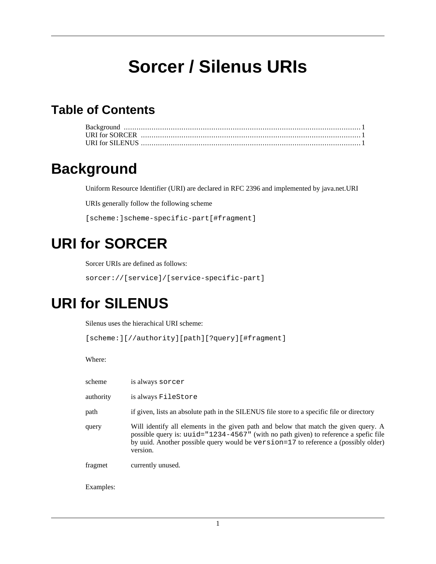# **Sorcer / Silenus URIs**

#### **Table of Contents**

### <span id="page-0-0"></span>**Background**

Uniform Resource Identifier (URI) are declared in RFC 2396 and implemented by java.net.URI

URIs generally follow the following scheme

[scheme:]scheme-specific-part[#fragment]

## <span id="page-0-1"></span>**URI for SORCER**

Sorcer URIs are defined as follows:

sorcer://[service]/[service-specific-part]

#### <span id="page-0-2"></span>**URI for SILENUS**

Silenus uses the hierachical URI scheme:

```
[scheme:][//authority][path][?query][#fragment]
```
Where:

| scheme    | is always sorcer                                                                                                                                                                                                                                                                   |
|-----------|------------------------------------------------------------------------------------------------------------------------------------------------------------------------------------------------------------------------------------------------------------------------------------|
| authority | is always FileStore                                                                                                                                                                                                                                                                |
| path      | if given, lists an absolute path in the SILENUS file store to a specific file or directory                                                                                                                                                                                         |
| query     | Will identify all elements in the given path and below that match the given query. A<br>possible query is: $uuid = "1234-4567"$ (with no path given) to reference a spefic file<br>by uuid. Another possible query would be version=17 to reference a (possibly older)<br>version. |
| fragmet   | currently unused.                                                                                                                                                                                                                                                                  |
| Examples: |                                                                                                                                                                                                                                                                                    |